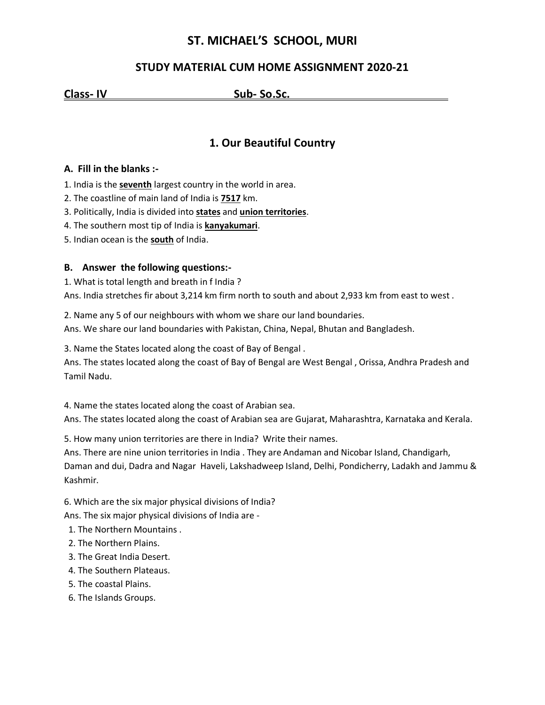## **ST. MICHAEL'S SCHOOL, MURI**

### **STUDY MATERIAL CUM HOME ASSIGNMENT 2020-21**

**Class- IV Sub- So.Sc. .**

## **1. Our Beautiful Country**

#### **A. Fill in the blanks :-**

- 1. India is the **seventh** largest country in the world in area.
- 2. The coastline of main land of India is **7517** km.
- 3. Politically, India is divided into **states** and **union territories**.
- 4. The southern most tip of India is **kanyakumari**.
- 5. Indian ocean is the **south** of India.

#### **B. Answer the following questions:-**

1. What is total length and breath in f India ? Ans. India stretches fir about 3,214 km firm north to south and about 2,933 km from east to west .

2. Name any 5 of our neighbours with whom we share our land boundaries. Ans. We share our land boundaries with Pakistan, China, Nepal, Bhutan and Bangladesh.

3. Name the States located along the coast of Bay of Bengal .

Ans. The states located along the coast of Bay of Bengal are West Bengal , Orissa, Andhra Pradesh and Tamil Nadu.

4. Name the states located along the coast of Arabian sea.

Ans. The states located along the coast of Arabian sea are Gujarat, Maharashtra, Karnataka and Kerala.

5. How many union territories are there in India? Write their names.

Ans. There are nine union territories in India . They are Andaman and Nicobar Island, Chandigarh, Daman and dui, Dadra and Nagar Haveli, Lakshadweep Island, Delhi, Pondicherry, Ladakh and Jammu & Kashmir.

6. Which are the six major physical divisions of India?

Ans. The six major physical divisions of India are -

- 1. The Northern Mountains .
- 2. The Northern Plains.
- 3. The Great India Desert.
- 4. The Southern Plateaus.
- 5. The coastal Plains.
- 6. The Islands Groups.